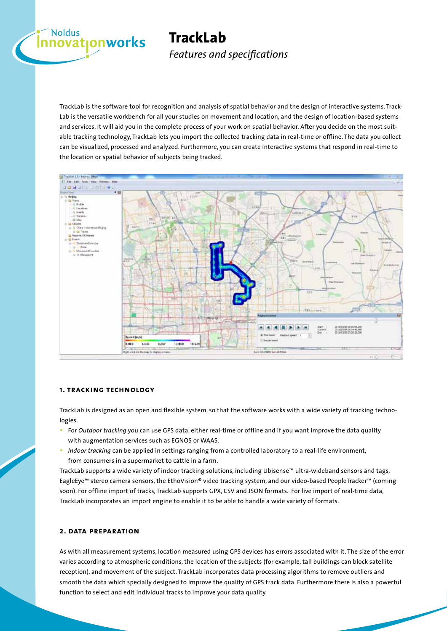# **Exandus**<br> **nnovat<sub>l</sub>onworks TrackLab**

*Features and specifications*

TrackLab is the software tool for recognition and analysis of spatial behavior and the design of interactive systems. Track-Lab is the versatile workbench for all your studies on movement and location, and the design of location-based systems and services. It will aid you in the complete process of your work on spatial behavior. After you decide on the most suitable tracking technology, TrackLab lets you import the collected tracking data in real-time or offline. The data you collect can be visualized, processed and analyzed. Furthermore, you can create interactive systems that respond in real-time to the location or spatial behavior of subjects being tracked.



## **1. tracking technology**

TrackLab is designed as an open and flexible system, so that the software works with a wide variety of tracking technologies.

- • For *Outdoor tracking* you can use GPS data, either real-time or offline and if you want improve the data quality with augmentation services such as EGNOS or WAAS.
- • *Indoor tracking* can be applied in settings ranging from a controlled laboratory to a real-life environment, from consumers in a supermarket to cattle in a farm.

TrackLab supports a wide variety of indoor tracking solutions, including Ubisense™ ultra-wideband sensors and tags, EagleEye™ stereo camera sensors, the EthoVision® video tracking system, and our video-based PeopleTracker™ (coming soon). For offline import of tracks, TrackLab supports GPX, CSV and JSON formats. For live import of real-time data, TrackLab incorporates an import engine to enable it to be able to handle a wide variety of formats.

## **2. data preparation**

As with all measurement systems, location measured using GPS devices has errors associated with it. The size of the error varies according to atmospheric conditions, the location of the subjects (for example, tall buildings can block satellite reception), and movement of the subject. TrackLab incorporates data processing algorithms to remove outliers and smooth the data which specially designed to improve the quality of GPS track data. Furthermore there is also a powerful function to select and edit individual tracks to improve your data quality.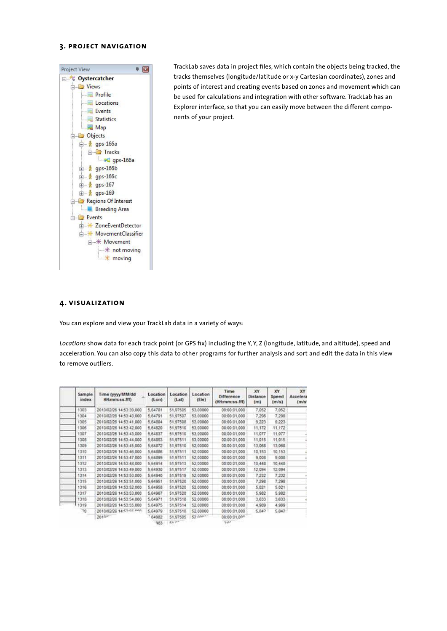#### **3. project navigation**



TrackLab saves data in project files, which contain the objects being tracked, the tracks themselves (longitude/latitude or x-y Cartesian coordinates), zones and points of interest and creating events based on zones and movement which can be used for calculations and integration with other software. TrackLab has an Explorer interface, so that you can easily move between the different components of your project.

#### **4. visualization**

You can explore and view your TrackLab data in a variety of ways:

*Locations* show data for each track point (or GPS fix) including the Y, Y, Z (longitude, latitude, and altitude), speed and acceleration. You can also copy this data to other programs for further analysis and sort and edit the data in this view to remove outliers.

| Sample<br>index | Time (yyyy/MM/dd)<br>HH:mm:ss.fff) | Location<br>(Lon) | Location<br>(Lat) | Location<br>(Ele) | Time<br><b>Difference</b><br>(HH:mm:ss.fff) | XY.<br>Distance<br>(m) | XY<br>Speed<br>(m/s) | XY<br>Accelera<br>(m/s) |
|-----------------|------------------------------------|-------------------|-------------------|-------------------|---------------------------------------------|------------------------|----------------------|-------------------------|
| 1303            | 2010/02/26 14:53:39.000            | 5.64781           | 51,97505          | 53,00000          | 00:00:01.000                                | 7,052                  | 7.052                |                         |
| 1304            | 2010/02/26 14:53:40.000            | 5,64791           | 51,97507          | 53,00000          | 00:00:01.000                                | 7,298                  | 7,298                |                         |
| 1305            | 2010/02/26 14:53:41.000            | 5,64804           | 51,97508          | 53,00000          | 00:00:01.000                                | 9,223                  | 9.223                |                         |
| 1306            | 2010/02/26 14:53:42:000            | 5,64820           | 51,97510          | 53,00000          | 00:00:01.000                                | 11,172                 | 11.172               |                         |
| 1307            | 2010/02/26 14:53:43.000            | 5,64837           | 51,97510          | 53,00000          | 00:00:01.000                                | 11,077                 | 11,077               |                         |
| 1308            | 2010/02/26 14:53:44,000            | 5,64853           | 51,97511          | 53,00000          | 00:00:01.000                                | 11,015                 | 11,015               |                         |
| 1309            | 2010/02/26 14:53:45,000            | 5,64872           | 51,97510          | 52,00000          | 00:00:01.000                                | 13,068                 | 13,068               |                         |
| 1310            | 2010/02/26 14:53:46.000            | 5,64888           | 51,97511          | 52,00000          | 00:00:01.000                                | 10.153                 | 10.153               |                         |
| 1311            | 2010/02/26 14:53:47.000            | 5,64899           | 51.97511          | 52,00000          | 00:00:01.000                                | 9,008                  | 9,008                |                         |
| 1312            | 2010/02/26 14:53:48.000            | 5.64914           | 51,97513          | 52.00000          | 00:00:01.000                                | 10,448                 | 10,448               |                         |
| 1313            | 2010/02/26 14:53:49.000            | 5,64930           | 51,97517          | 52,00000          | 00:00:01.000                                | 12,094                 | 12.094               |                         |
| 1314            | 2010/02/26 14:53:50.000            | 5,64940           | 51,97519          | 52,00000          | 00:00:01.000                                | 7,232                  | 7,232                |                         |
| 1315            | 2010/02/26 14:53:51,000            | 5,64951           | 51,97520          | 52,00000          | 00:00:01.000                                | 7,298                  | 7,298                |                         |
| 1316            | 2010/02/26 14:53:52.000            | 5,64958           | 51,97520          | 52,00000          | 000.00.000                                  | 5,021                  | 5,021                |                         |
| 1317            | 2010/02/26 14:53:53.000            | 5.64967           | 51,97520          | 52,00000          | 00:00:01.000                                | 5,982                  | 5,982                |                         |
| 1318            | 2010/02/26 14:53:54,000            | 5.64971           | 51,97518          | 52.00000          | 00:00:01.000                                | 3,633                  | 3,633                |                         |
| 1319            | 2010/02/26 14:53:55,000            | 5,64975           | 51,97514          | 52,00000          | 00:00:01.000                                | 4,989                  | 4,989                |                         |
| 70              | 2010/02/26 14:57:66 nnn            | 5,64979           | 51,97510          | 52,00000          | 000.000000                                  | 5,847                  | 5,842                |                         |
|                 | 2010 <sup>6</sup>                  | 64982             | 51,97505          | 52 non-           | 00:00:01.00*                                |                        |                      |                         |
|                 |                                    | 1983              | <b>REP</b>        |                   | S-AP                                        |                        |                      |                         |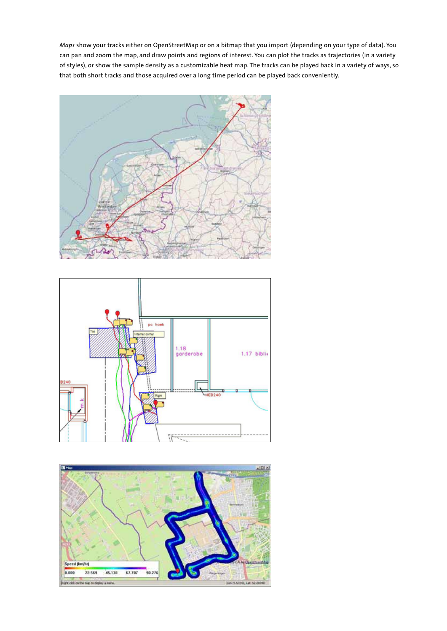*Maps* show your tracks either on OpenStreetMap or on a bitmap that you import (depending on your type of data). You can pan and zoom the map, and draw points and regions of interest. You can plot the tracks as trajectories (in a variety of styles), or show the sample density as a customizable heat map. The tracks can be played back in a variety of ways, so that both short tracks and those acquired over a long time period can be played back conveniently.





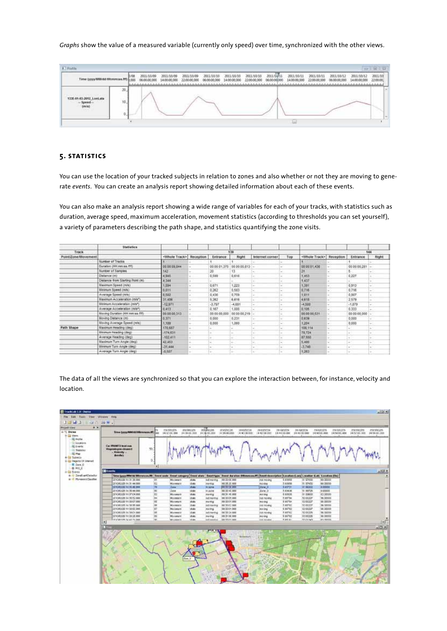### *Graphs* show the value of a measured variable (currently only speed) over time, synchronized with the other views.

| Time (yyyy/MM/dd Hitmmiss.fm)                             | 2011/10/09<br>00.000 | 2011/10/09<br>14 00:00 000 | 2011/10/09<br>22:00:00.000 | 2011/10/10<br>06:00:00:000 | 2011/18/10<br>14:00:00:000 | 2011/10/10<br>22:00:00.000<br>3.1.1.1.1.3 | 2011/10/11<br>06:00:00 000 | 2011/10/11<br>14.00:00.000<br>-------------- | 2011/10/11<br>22:00:00:000 | 2011/10/12<br>06:00:00 000 | 2011/10/12<br>14:00:00:000 | 2011/10<br>22:00:00 |
|-----------------------------------------------------------|----------------------|----------------------------|----------------------------|----------------------------|----------------------------|-------------------------------------------|----------------------------|----------------------------------------------|----------------------------|----------------------------|----------------------------|---------------------|
| 133E-81-85-2012 LonLate<br>Szamed<br>$\langle m n\rangle$ |                      |                            |                            |                            |                            |                                           |                            |                                              |                            |                            |                            |                     |

## **5. statistics**

You can use the location of your tracked subjects in relation to zones and also whether or not they are moving to generate *events*. You can create an analysis report showing detailed information about each of these events.

You can also make an analysis report showing a wide range of variables for each of your tracks, with statistics such as duration, average speed, maximum acceleration, movement statistics (according to thresholds you can set yourself), a variety of parameters describing the path shape, and statistics quantifying the zone visits.

|                     | <b>Statistics</b>                |                                    |   |                                                                                                                                                                                                                                                                                                                                                                                                                                                                            |                |                 |                                            |                          |           |                |         |  |
|---------------------|----------------------------------|------------------------------------|---|----------------------------------------------------------------------------------------------------------------------------------------------------------------------------------------------------------------------------------------------------------------------------------------------------------------------------------------------------------------------------------------------------------------------------------------------------------------------------|----------------|-----------------|--------------------------------------------|--------------------------|-----------|----------------|---------|--|
| Track               |                                  |                                    |   | 139<br><b>ALCOHOL:</b>                                                                                                                                                                                                                                                                                                                                                                                                                                                     | 144            |                 |                                            |                          |           |                |         |  |
| Point/Zone/Movement |                                  | <whole track=""> Reception</whole> |   | Entrance                                                                                                                                                                                                                                                                                                                                                                                                                                                                   | Right          | Internet corner | Top                                        | <whole track=""></whole> | Reception | Entrance       | Right   |  |
|                     | <b>Number of Tracks</b>          |                                    |   |                                                                                                                                                                                                                                                                                                                                                                                                                                                                            |                |                 |                                            |                          |           |                |         |  |
|                     | Duration (RRI mm as fff)         | 00.00.09.844                       | ÷ | 00:00:01.375                                                                                                                                                                                                                                                                                                                                                                                                                                                               | 00.00.00.813 - |                 | ÷                                          | 00:00:01.438             | w.        | 00:00:00.281 - |         |  |
|                     | Number of Samples                | 142                                |   | 20                                                                                                                                                                                                                                                                                                                                                                                                                                                                         | $\overline{3}$ |                 | $\sim$                                     |                          |           |                |         |  |
|                     | Distance (m)                     | 4,945                              |   | 0.599                                                                                                                                                                                                                                                                                                                                                                                                                                                                      | 0,016          |                 | $\sim$                                     | 1,453.                   |           | 0.227          |         |  |
|                     | Distance from Starting Point (m) | 4,344                              |   |                                                                                                                                                                                                                                                                                                                                                                                                                                                                            |                |                 |                                            | 1.437                    |           |                |         |  |
|                     | Maximum Speed (m/s).             | 1,584                              |   | 0.671                                                                                                                                                                                                                                                                                                                                                                                                                                                                      | 1,222          | ٠               | $\sim$                                     | 1,391                    |           | 0.913          |         |  |
|                     | Minimum Speed (m/s)              | 0.011                              | - | 0.262                                                                                                                                                                                                                                                                                                                                                                                                                                                                      | 0.583          | $\sim$          | $\sim$                                     | 0.716                    | ×         | 0.788          | in 1    |  |
|                     | Average Speed (m/s)              | 0,502                              |   | 0,436                                                                                                                                                                                                                                                                                                                                                                                                                                                                      | 0,759          |                 | $\sim$                                     | 1.011                    |           | 0.057          |         |  |
|                     | Maximum Acceleration (m/s*)      | 31,406                             |   | 5,262                                                                                                                                                                                                                                                                                                                                                                                                                                                                      | 6,616          |                 | $\frac{1}{2} \left( \frac{1}{2} \right)^2$ | 4,618                    |           | 2.579          |         |  |
|                     | Minimum Acceleration (m/s*)      | $-12.971$                          |   | $-3.797$                                                                                                                                                                                                                                                                                                                                                                                                                                                                   | $-4,691$       | $\sim$          | $\sim$                                     | $-4.500$                 |           | $-1,879$       |         |  |
|                     | Average Acceleration (m/s*)      | 0.413                              |   | 0.167                                                                                                                                                                                                                                                                                                                                                                                                                                                                      | 1.000          |                 | w                                          | 0.105                    |           | 0.333          |         |  |
|                     | Maying Duration (HH:mm:as.fff)   | 00:00:00.313                       |   | 00:00:00.000                                                                                                                                                                                                                                                                                                                                                                                                                                                               | 00:00:00.219   |                 | $\sim$                                     | 103.00:00.531            |           | 00:00:00.000   |         |  |
|                     | Moving Distance (m)              | 0.371                              |   | 0.000                                                                                                                                                                                                                                                                                                                                                                                                                                                                      | 0.221          |                 | ÷                                          | 0.639                    |           | 0,000          |         |  |
|                     | Maving Average Speed (m/s):      | 1,189                              |   | 0,000                                                                                                                                                                                                                                                                                                                                                                                                                                                                      | 1,060          |                 | $\sim$                                     | 1,204                    | 149.91    | 0,000          |         |  |
| Path Shape          | Maximum Heading (deg)            | 170,687                            |   | $\frac{1}{2} \left( \frac{1}{2} \right) \left( \frac{1}{2} \right) \left( \frac{1}{2} \right) \left( \frac{1}{2} \right) \left( \frac{1}{2} \right) \left( \frac{1}{2} \right) \left( \frac{1}{2} \right) \left( \frac{1}{2} \right) \left( \frac{1}{2} \right) \left( \frac{1}{2} \right) \left( \frac{1}{2} \right) \left( \frac{1}{2} \right) \left( \frac{1}{2} \right) \left( \frac{1}{2} \right) \left( \frac{1}{2} \right) \left( \frac{1}{2} \right) \left( \frac$ |                |                 | $\sim$                                     | 108,114                  |           | a.             |         |  |
|                     | <b>Illinerum Heading (deg)</b>   | (174, 0.14)                        |   | $\sim$                                                                                                                                                                                                                                                                                                                                                                                                                                                                     |                |                 |                                            | 78,724                   |           |                |         |  |
|                     | Average Heading (deg)            | $-102.411$                         |   | i dir                                                                                                                                                                                                                                                                                                                                                                                                                                                                      | ÷              |                 | m.                                         | 87,550                   |           | $\sim$         | ÷       |  |
|                     | Maximum Turn Angle (deg)         | 42,453                             |   | $\frac{1}{2} \left( \frac{1}{2} \right) \left( \frac{1}{2} \right) \left( \frac{1}{2} \right)$                                                                                                                                                                                                                                                                                                                                                                             | ÷              | $\sim$          | $\sim$                                     | 5.433                    | m.        | ÷              | in 1911 |  |
|                     | <b>Unimum Turn Angle (deg)</b>   | $-31.444$                          |   | ÷                                                                                                                                                                                                                                                                                                                                                                                                                                                                          |                |                 | ÷                                          | $-3.748$                 |           | w.             |         |  |
|                     | Average Turn Angle (deg)         | $-0,507$                           |   |                                                                                                                                                                                                                                                                                                                                                                                                                                                                            |                |                 |                                            | 1.263                    |           |                |         |  |

The data of all the views are synchronized so that you can explore the interaction between, for instance, velocity and location.

| Car PRID-87 D Grad same<br>70<br><b>Wagenstrom chronicle</b><br>$-$ Vehicley $-$<br><b>Buisha)</b><br>n<br>$\bullet$<br><b>CENverts</b><br>a. it Jandivertives that<br>These typyy MM/M/Minnesse.MI: Toold sale: Eneal subspary Event about Excel type: Event Autumn (Minnessex, W); Event deamsphore  Location (Long)  , scation (Lots)  , Location (Lots)  , Location (Lots)  , Location (Lots)  <br>a di Piresenti Indiat<br>HO DO OK 800<br>30YO00 00 14:38 000<br>3,41040<br>BI 67430<br>40.00000<br>m<br>Movement<br>shake.<br>ind moving<br>ind retains<br>62<br>2010/02/25 14:31:44:000<br>10/05/20 10:0<br>2.65658<br>91, 57430<br>60,00000<br>10 dig<br>Marenors<br>www.ca<br>Michillag<br>W<br>00:30:30.300<br><b>Date</b><br>of also<br>4.85%<br><b>IN SCOLU</b><br>a conco<br><b>DOS 30, 2012 342 353 AV 2012</b><br>51,30748<br>Llow <sub>5</sub><br>11,00725<br>2010/02/25 14: 35:44:000<br><b>BG</b><br>Date:<br>state<br>12.418.56<br>800000<br><b>BLacked</b><br>00:30 46.000<br>$2xw \geq$<br>m<br>4.83925<br>B1 DORGS<br>30YO/03/26 14:37:04.008<br>00.31 48.000<br>42,00000<br>12 Mil<br>Marenort<br><b>PERTES</b><br>mol/wg<br>bs.<br>2010/02/29 14:39:52:000<br><b>State</b><br>T.65704<br>58,70000<br>rich montrag.<br>HO.DO.CT-R00<br>5200227<br><b>Maximum</b><br>TEE:NEMBER<br>W<br>iiii .00000<br>2010/02/20 14:33:07:000<br>state<br>80 00 01:00:<br># ail/tiv<br>ED DODG!<br><b>Missouri</b><br><b>Wallen Brag</b><br>mr-Ing<br>m<br>MA DODDE<br><b>Hale</b><br>BOX-RA W. sa 7/6/10/2012<br>100120-012000<br># A6703<br>12.00227<br>rich kontrol<br><b>Missouris</b><br>INVERTIBLE<br>u<br>E 64702<br>\$2,00227<br>68,00000<br>2010/03/26 14:32:00:308<br>date.<br>00:00:01.000<br>Mainwork<br><b>Wending</b><br><b>MODIVAL</b><br>m<br>9.68702<br><b>R2-00228</b><br>96 00000<br>2010/02/25 14:30 C1 000<br>stute<br>1001001041006<br>in Enerting.<br><b>Missionary</b><br>ind nickeep<br>w<br>9.86702<br>\$5 peach<br>68,00000<br>3010/03/06 14:30:28.000<br>of also<br>10:01:06.000<br><b>Museum</b><br><b>PAINTIN</b><br>Mining.<br><b>Don't all the sale detailed and the</b><br><b>HAPENY</b><br>an minor<br><b>State</b><br>18,850,000<br><b>Mitcheller</b> E.<br>Jan nn en ave<br>in francist.<br>tive messine.<br>L+<br>nue. | Time (providential Himmond.00) | <b>Ener</b> | <b>ZSI SEGDS</b><br>14:37:13.330 | <b>SOUNDERS</b><br>34, 14, 02, 2031 | zoli@or.ins<br>14118-10-003 | 2010/06/26<br>1010 College<br>141301012031<br>14 MODELER | 2010/02/29<br>141022-002 | 2010/02/25<br>14:44733.000 | 2010/02/29<br>14-H1T15M1 | ZHARIZO<br><b>INVANUES</b><br>14:40331,000<br>14/14/10 800<br>maka | <b>INCOURS</b><br>14/5/10.333 14/5410.233<br>مقمعت |
|---------------------------------------------------------------------------------------------------------------------------------------------------------------------------------------------------------------------------------------------------------------------------------------------------------------------------------------------------------------------------------------------------------------------------------------------------------------------------------------------------------------------------------------------------------------------------------------------------------------------------------------------------------------------------------------------------------------------------------------------------------------------------------------------------------------------------------------------------------------------------------------------------------------------------------------------------------------------------------------------------------------------------------------------------------------------------------------------------------------------------------------------------------------------------------------------------------------------------------------------------------------------------------------------------------------------------------------------------------------------------------------------------------------------------------------------------------------------------------------------------------------------------------------------------------------------------------------------------------------------------------------------------------------------------------------------------------------------------------------------------------------------------------------------------------------------------------------------------------------------------------------------------------------------------------------------------------------------------------------------------------------------------------------------------------------------------------------------------------------------------------------------------------------------------------------------------------------------------------------------------------------------|--------------------------------|-------------|----------------------------------|-------------------------------------|-----------------------------|----------------------------------------------------------|--------------------------|----------------------------|--------------------------|--------------------------------------------------------------------|----------------------------------------------------|
|                                                                                                                                                                                                                                                                                                                                                                                                                                                                                                                                                                                                                                                                                                                                                                                                                                                                                                                                                                                                                                                                                                                                                                                                                                                                                                                                                                                                                                                                                                                                                                                                                                                                                                                                                                                                                                                                                                                                                                                                                                                                                                                                                                                                                                                                     |                                |             |                                  |                                     |                             |                                                          |                          |                            |                          |                                                                    |                                                    |
|                                                                                                                                                                                                                                                                                                                                                                                                                                                                                                                                                                                                                                                                                                                                                                                                                                                                                                                                                                                                                                                                                                                                                                                                                                                                                                                                                                                                                                                                                                                                                                                                                                                                                                                                                                                                                                                                                                                                                                                                                                                                                                                                                                                                                                                                     |                                |             |                                  |                                     |                             |                                                          |                          |                            |                          |                                                                    |                                                    |
|                                                                                                                                                                                                                                                                                                                                                                                                                                                                                                                                                                                                                                                                                                                                                                                                                                                                                                                                                                                                                                                                                                                                                                                                                                                                                                                                                                                                                                                                                                                                                                                                                                                                                                                                                                                                                                                                                                                                                                                                                                                                                                                                                                                                                                                                     |                                |             |                                  |                                     |                             |                                                          |                          |                            |                          |                                                                    |                                                    |
|                                                                                                                                                                                                                                                                                                                                                                                                                                                                                                                                                                                                                                                                                                                                                                                                                                                                                                                                                                                                                                                                                                                                                                                                                                                                                                                                                                                                                                                                                                                                                                                                                                                                                                                                                                                                                                                                                                                                                                                                                                                                                                                                                                                                                                                                     |                                |             |                                  |                                     |                             |                                                          |                          |                            |                          |                                                                    |                                                    |
|                                                                                                                                                                                                                                                                                                                                                                                                                                                                                                                                                                                                                                                                                                                                                                                                                                                                                                                                                                                                                                                                                                                                                                                                                                                                                                                                                                                                                                                                                                                                                                                                                                                                                                                                                                                                                                                                                                                                                                                                                                                                                                                                                                                                                                                                     |                                |             |                                  |                                     |                             |                                                          |                          |                            |                          |                                                                    |                                                    |
|                                                                                                                                                                                                                                                                                                                                                                                                                                                                                                                                                                                                                                                                                                                                                                                                                                                                                                                                                                                                                                                                                                                                                                                                                                                                                                                                                                                                                                                                                                                                                                                                                                                                                                                                                                                                                                                                                                                                                                                                                                                                                                                                                                                                                                                                     |                                |             |                                  |                                     |                             |                                                          |                          |                            |                          |                                                                    |                                                    |
|                                                                                                                                                                                                                                                                                                                                                                                                                                                                                                                                                                                                                                                                                                                                                                                                                                                                                                                                                                                                                                                                                                                                                                                                                                                                                                                                                                                                                                                                                                                                                                                                                                                                                                                                                                                                                                                                                                                                                                                                                                                                                                                                                                                                                                                                     |                                |             |                                  |                                     |                             |                                                          |                          |                            |                          |                                                                    |                                                    |
|                                                                                                                                                                                                                                                                                                                                                                                                                                                                                                                                                                                                                                                                                                                                                                                                                                                                                                                                                                                                                                                                                                                                                                                                                                                                                                                                                                                                                                                                                                                                                                                                                                                                                                                                                                                                                                                                                                                                                                                                                                                                                                                                                                                                                                                                     |                                |             |                                  |                                     |                             |                                                          |                          |                            |                          |                                                                    |                                                    |
|                                                                                                                                                                                                                                                                                                                                                                                                                                                                                                                                                                                                                                                                                                                                                                                                                                                                                                                                                                                                                                                                                                                                                                                                                                                                                                                                                                                                                                                                                                                                                                                                                                                                                                                                                                                                                                                                                                                                                                                                                                                                                                                                                                                                                                                                     |                                |             |                                  |                                     |                             |                                                          |                          |                            |                          |                                                                    |                                                    |
|                                                                                                                                                                                                                                                                                                                                                                                                                                                                                                                                                                                                                                                                                                                                                                                                                                                                                                                                                                                                                                                                                                                                                                                                                                                                                                                                                                                                                                                                                                                                                                                                                                                                                                                                                                                                                                                                                                                                                                                                                                                                                                                                                                                                                                                                     |                                |             |                                  |                                     |                             |                                                          |                          |                            |                          |                                                                    |                                                    |
|                                                                                                                                                                                                                                                                                                                                                                                                                                                                                                                                                                                                                                                                                                                                                                                                                                                                                                                                                                                                                                                                                                                                                                                                                                                                                                                                                                                                                                                                                                                                                                                                                                                                                                                                                                                                                                                                                                                                                                                                                                                                                                                                                                                                                                                                     |                                |             |                                  |                                     |                             |                                                          |                          |                            |                          |                                                                    |                                                    |
|                                                                                                                                                                                                                                                                                                                                                                                                                                                                                                                                                                                                                                                                                                                                                                                                                                                                                                                                                                                                                                                                                                                                                                                                                                                                                                                                                                                                                                                                                                                                                                                                                                                                                                                                                                                                                                                                                                                                                                                                                                                                                                                                                                                                                                                                     |                                |             |                                  |                                     |                             |                                                          |                          |                            |                          |                                                                    |                                                    |
|                                                                                                                                                                                                                                                                                                                                                                                                                                                                                                                                                                                                                                                                                                                                                                                                                                                                                                                                                                                                                                                                                                                                                                                                                                                                                                                                                                                                                                                                                                                                                                                                                                                                                                                                                                                                                                                                                                                                                                                                                                                                                                                                                                                                                                                                     |                                |             |                                  |                                     |                             |                                                          |                          |                            |                          |                                                                    |                                                    |
|                                                                                                                                                                                                                                                                                                                                                                                                                                                                                                                                                                                                                                                                                                                                                                                                                                                                                                                                                                                                                                                                                                                                                                                                                                                                                                                                                                                                                                                                                                                                                                                                                                                                                                                                                                                                                                                                                                                                                                                                                                                                                                                                                                                                                                                                     |                                |             |                                  |                                     |                             |                                                          |                          |                            |                          |                                                                    |                                                    |
|                                                                                                                                                                                                                                                                                                                                                                                                                                                                                                                                                                                                                                                                                                                                                                                                                                                                                                                                                                                                                                                                                                                                                                                                                                                                                                                                                                                                                                                                                                                                                                                                                                                                                                                                                                                                                                                                                                                                                                                                                                                                                                                                                                                                                                                                     |                                |             |                                  |                                     |                             |                                                          |                          |                            |                          |                                                                    |                                                    |
|                                                                                                                                                                                                                                                                                                                                                                                                                                                                                                                                                                                                                                                                                                                                                                                                                                                                                                                                                                                                                                                                                                                                                                                                                                                                                                                                                                                                                                                                                                                                                                                                                                                                                                                                                                                                                                                                                                                                                                                                                                                                                                                                                                                                                                                                     |                                |             |                                  |                                     |                             |                                                          |                          |                            |                          |                                                                    |                                                    |
| 2n3                                                                                                                                                                                                                                                                                                                                                                                                                                                                                                                                                                                                                                                                                                                                                                                                                                                                                                                                                                                                                                                                                                                                                                                                                                                                                                                                                                                                                                                                                                                                                                                                                                                                                                                                                                                                                                                                                                                                                                                                                                                                                                                                                                                                                                                                 |                                |             |                                  |                                     |                             |                                                          |                          |                            |                          |                                                                    |                                                    |